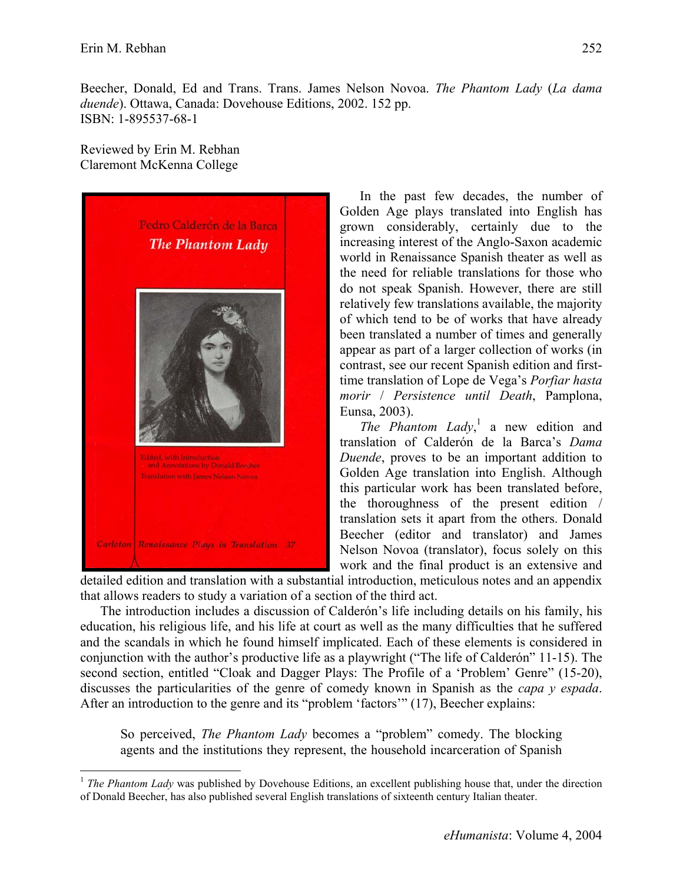$\overline{a}$ 

Beecher, Donald, Ed and Trans. Trans. James Nelson Novoa. *The Phantom Lady* (*La dama duende*). Ottawa, Canada: Dovehouse Editions, 2002. 152 pp. ISBN: 1-895537-68-1

Reviewed by Erin M. Rebhan Claremont McKenna College



In the past few decades, the number of Golden Age plays translated into English has grown considerably, certainly due to the increasing interest of the Anglo-Saxon academic world in Renaissance Spanish theater as well as the need for reliable translations for those who do not speak Spanish. However, there are still relatively few translations available, the majority of which tend to be of works that have already been translated a number of times and generally appear as part of a larger collection of works (in contrast, see our recent Spanish edition and firsttime translation of Lope de Vega's *Porfiar hasta morir* / *Persistence until Death*, Pamplona, Eunsa, 2003).

*The Phantom Lady*, <sup>1</sup> a new edition and translation of Calderón de la Barca's *Dama Duende*, proves to be an important addition to Golden Age translation into English. Although this particular work has been translated before, the thoroughness of the present edition / translation sets it apart from the others. Donald Beecher (editor and translator) and James Nelson Novoa (translator), focus solely on this work and the final product is an extensive and

detailed edition and translation with a substantial introduction, meticulous notes and an appendix that allows readers to study a variation of a section of the third act.

The introduction includes a discussion of Calderón's life including details on his family, his education, his religious life, and his life at court as well as the many difficulties that he suffered and the scandals in which he found himself implicated. Each of these elements is considered in conjunction with the author's productive life as a playwright ("The life of Calderón" 11-15). The second section, entitled "Cloak and Dagger Plays: The Profile of a 'Problem' Genre" (15-20), discusses the particularities of the genre of comedy known in Spanish as the *capa y espada*. After an introduction to the genre and its "problem 'factors'" (17), Beecher explains:

So perceived, *The Phantom Lady* becomes a "problem" comedy. The blocking agents and the institutions they represent, the household incarceration of Spanish

<sup>&</sup>lt;sup>1</sup> *The Phantom Lady* was published by Dovehouse Editions, an excellent publishing house that, under the direction of Donald Beecher, has also published several English translations of sixteenth century Italian theater.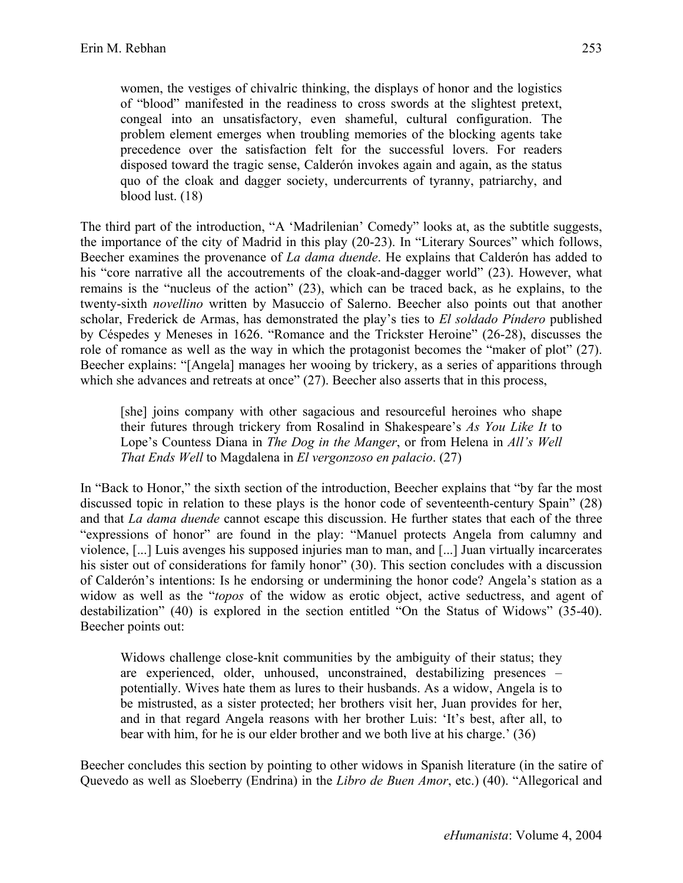women, the vestiges of chivalric thinking, the displays of honor and the logistics of "blood" manifested in the readiness to cross swords at the slightest pretext, congeal into an unsatisfactory, even shameful, cultural configuration. The problem element emerges when troubling memories of the blocking agents take precedence over the satisfaction felt for the successful lovers. For readers disposed toward the tragic sense, Calderón invokes again and again, as the status quo of the cloak and dagger society, undercurrents of tyranny, patriarchy, and blood lust. (18)

The third part of the introduction, "A 'Madrilenian' Comedy" looks at, as the subtitle suggests, the importance of the city of Madrid in this play (20-23). In "Literary Sources" which follows, Beecher examines the provenance of *La dama duende*. He explains that Calderón has added to his "core narrative all the accoutrements of the cloak-and-dagger world" (23). However, what remains is the "nucleus of the action" (23), which can be traced back, as he explains, to the twenty-sixth *novellino* written by Masuccio of Salerno. Beecher also points out that another scholar, Frederick de Armas, has demonstrated the play's ties to *El soldado Píndero* published by Céspedes y Meneses in 1626. "Romance and the Trickster Heroine" (26-28), discusses the role of romance as well as the way in which the protagonist becomes the "maker of plot" (27). Beecher explains: "[Angela] manages her wooing by trickery, as a series of apparitions through which she advances and retreats at once" (27). Beecher also asserts that in this process,

[she] joins company with other sagacious and resourceful heroines who shape their futures through trickery from Rosalind in Shakespeare's *As You Like It* to Lope's Countess Diana in *The Dog in the Manger*, or from Helena in *All's Well That Ends Well* to Magdalena in *El vergonzoso en palacio*. (27)

In "Back to Honor," the sixth section of the introduction, Beecher explains that "by far the most discussed topic in relation to these plays is the honor code of seventeenth-century Spain" (28) and that *La dama duende* cannot escape this discussion. He further states that each of the three "expressions of honor" are found in the play: "Manuel protects Angela from calumny and violence, [...] Luis avenges his supposed injuries man to man, and [...] Juan virtually incarcerates his sister out of considerations for family honor" (30). This section concludes with a discussion of Calderón's intentions: Is he endorsing or undermining the honor code? Angela's station as a widow as well as the "*topos* of the widow as erotic object, active seductress, and agent of destabilization" (40) is explored in the section entitled "On the Status of Widows" (35-40). Beecher points out:

Widows challenge close-knit communities by the ambiguity of their status; they are experienced, older, unhoused, unconstrained, destabilizing presences – potentially. Wives hate them as lures to their husbands. As a widow, Angela is to be mistrusted, as a sister protected; her brothers visit her, Juan provides for her, and in that regard Angela reasons with her brother Luis: 'It's best, after all, to bear with him, for he is our elder brother and we both live at his charge.' (36)

Beecher concludes this section by pointing to other widows in Spanish literature (in the satire of Quevedo as well as Sloeberry (Endrina) in the *Libro de Buen Amor*, etc.) (40). "Allegorical and